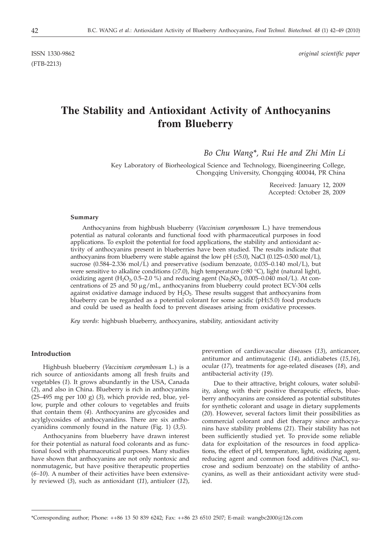(FTB-2213)

ISSN 1330-9862 *original scientific paper*

# **The Stability and Antioxidant Activity of Anthocyanins from Blueberry**

*Bo Chu Wang\*, Rui He and Zhi Min Li*

Key Laboratory of Biorheological Science and Technology, Bioengineering College, Chongqing University, Chongqing 400044, PR China

> Received: January 12, 2009 Accepted: October 28, 2009

## **Summary**

Anthocyanins from highbush blueberry (*Vaccinium corymbosum* L.) have tremendous potential as natural colorants and functional food with pharmaceutical purposes in food applications. To exploit the potential for food applications, the stability and antioxidant activity of anthocyanins present in blueberries have been studied. The results indicate that anthocyanins from blueberry were stable against the low pH  $(\leq 5.0)$ , NaCl  $(0.125-0.500 \text{ mol/L})$ , sucrose (0.584–2.336 mol/L) and preservative (sodium benzoate, 0.035–0.140 mol/L), but were sensitive to alkaline conditions ( $\geq$ 7.0), high temperature ( $\geq$ 80 °C), light (natural light), oxidizing agent (H<sub>2</sub>O<sub>2</sub>, 0.5–2.0 %) and reducing agent (Na<sub>2</sub>SO<sub>3</sub>, 0.005–0.040 mol/L). At concentrations of 25 and 50  $\mu$ g/mL, anthocyanins from blueberry could protect ECV-304 cells against oxidative damage induced by  $H_2O_2$ . These results suggest that anthocyanins from blueberry can be regarded as a potential colorant for some acidic  $(pH \le 5.0)$  food products and could be used as health food to prevent diseases arising from oxidative processes.

*Key words*: highbush blueberry, anthocyanins, stability, antioxidant activity

# **Introduction**

Highbush blueberry (*Vaccinium corymbosum* L.) is a rich source of antioxidants among all fresh fruits and vegetables (*1*). It grows abundantly in the USA, Canada (*2*), and also in China. Blueberry is rich in anthocyanins (25–495 mg per 100 g) (*3*), which provide red, blue, yellow, purple and other colours to vegetables and fruits that contain them (*4*). Anthocyanins are glycosides and acylglycosides of anthocyanidins. There are six anthocyanidins commonly found in the nature (Fig. 1) (*3,5*).

Anthocyanins from blueberry have drawn interest for their potential as natural food colorants and as functional food with pharmaceutical purposes. Many studies have shown that anthocyanins are not only nontoxic and nonmutagenic, but have positive therapeutic properties (*6–10*). A number of their activities have been extensively reviewed (*3*), such as antioxidant (*11*), antiulcer (*12*), prevention of cardiovascular diseases (*13*), anticancer, antitumor and antimutagenic (*14*), antidiabetes (*15,16*), ocular (*17*), treatments for age-related diseases (*18*), and antibacterial activity (*19*).

Due to their attractive, bright colours, water solubility, along with their positive therapeutic effects, blueberry anthocyanins are considered as potential substitutes for synthetic colorant and usage in dietary supplements (*20*). However, several factors limit their possibilities as commercial colorant and diet therapy since anthocyanins have stability problems (*21*). Their stability has not been sufficiently studied yet. To provide some reliable data for exploitation of the resources in food applications, the effect of pH, temperature, light, oxidizing agent, reducing agent and common food additives (NaCl, sucrose and sodium benzoate) on the stability of anthocyanins, as well as their antioxidant activity were studied.

<sup>\*</sup>Corresponding author; Phone: ++86 13 50 839 6242; Fax: ++86 23 6510 2507; E-mail: wangbc2000@126.com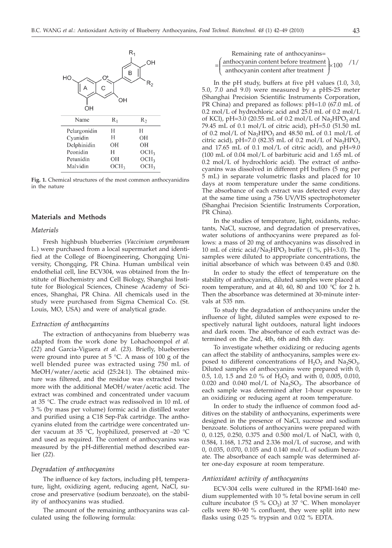

**Fig. 1.** Chemical structures of the most common anthocyanidins in the nature

# **Materials and Methods**

# *Materials*

Fresh highbush blueberries (*Vaccinium corymbosum* L.) were purchased from a local supermarket and identified at the College of Bioengineering, Chongqing University, Chongqing, PR China. Human umbilical vein endothelial cell, line ECV304, was obtained from the Institute of Biochemistry and Cell Biology, Shanghai Institute for Biological Sciences, Chinese Academy of Sciences, Shanghai, PR China. All chemicals used in the study were purchased from Sigma Chemical Co. (St. Louis, MO, USA) and were of analytical grade.

#### *Extraction of anthocyanins*

The extraction of anthocyanins from blueberry was adapted from the work done by Lohachoompol *et al.* (*22*) and Garcia-Viguera *et al.* (*23*). Briefly, blueberries were ground into puree at 5 °C. A mass of 100 g of the well blended puree was extracted using 750 mL of MeOH/water/acetic acid (25:24:1). The obtained mixture was filtered, and the residue was extracted twice more with the additional MeOH/water/acetic acid. The extract was combined and concentrated under vacuum at 35 °C. The crude extract was redissolved in 10 mL of 3 % (by mass per volume) formic acid in distilled water and purified using a C18 Sep-Pak cartridge. The anthocyanins eluted from the cartridge were concentrated under vacuum at 35 °C, lyophilized, preserved at –20 °C and used as required. The content of anthocyanins was measured by the pH-differential method described earlier (*22*).

# *Degradation of anthocyanins*

The influence of key factors, including pH, temperature, light, oxidizing agent, reducing agent, NaCl, sucrose and preservative (sodium benzoate), on the stability of anthocyanins was studied.

The amount of the remaining anthocyanins was calculated using the following formula:

Remaining rate of anthocyanins=  
= 
$$
\left(\frac{\text{anthocyanin content before treatment}}{\text{anthocyanin content after treatment}}\right) \times 100
$$
 /1/

In the pH study, buffers at five pH values (1.0, 3.0, 5.0, 7.0 and 9.0) were measured by a pHS-25 meter (Shanghai Precision Scientific Instruments Corporation, PR China) and prepared as follows: pH=1.0 (67.0 mL of 0.2 mol/L of hydrochloric acid and 25.0 mL of 0.2 mol/L of KCl), pH=3.0 (20.55 mL of 0.2 mol/L of  $Na<sub>2</sub>HPO<sub>3</sub>$  and 79.45 mL of 0.1 mol/L of citric acid), pH=5.0 (51.50 mL of 0.2 mol/L of Na<sub>2</sub>HPO<sub>2</sub> and 48.50 mL of 0.1 mol/L of citric acid), pH=7.0 (82.35 mL of 0.2 mol/L of  $Na<sub>2</sub>HPO<sub>3</sub>$ and  $17.65$  mL of  $0.1$  mol/L of citric acid), and  $pH=9.0$ (100 mL of 0.04 mol/L of barbituric acid and 1.65 mL of 0.2 mol/L of hydrochloric acid). The extract of anthocyanins was dissolved in different pH buffers (5 mg per 5 mL) in separate volumetric flasks and placed for 10 days at room temperature under the same conditions. The absorbance of each extract was detected every day at the same time using a 756 UV*/*VIS spectrophotometer (Shanghai Precision Scientific Instruments Corporation, PR China).

In the studies of temperature, light, oxidants, reductants, NaCl, sucrose, and degradation of preservatives, water solutions of anthocyanins were prepared as follows: a mass of 20 mg of anthocyanins was dissolved in 10 mL of citric acid/Na<sub>2</sub>HPO<sub>3</sub> buffer  $(1 \text{ %}, pH=3.0)$ . The samples were diluted to appropriate concentrations, the initial absorbance of which was between 0.45 and 0.80.

In order to study the effect of temperature on the stability of anthocyanins, diluted samples were placed at room temperature, and at 40, 60, 80 and 100 °C for 2 h. Then the absorbance was determined at 30-minute intervals at 535 nm.

To study the degradation of anthocyanins under the influence of light, diluted samples were exposed to respectively natural light outdoors, natural light indoors and dark room. The absorbance of each extract was determined on the 2nd, 4th, 6th and 8th day.

To investigate whether oxidizing or reducing agents can affect the stability of anthocyanins, samples were exposed to different concentrations of  $H_2O_2$  and Na<sub>2</sub>SO<sub>3</sub>. Diluted samples of anthocyanins were prepared with 0, 0.5, 1.0, 1.5 and 2.0 % of  $H_2O_2$  and with 0, 0.005, 0.010, 0.020 and 0.040 mol/L of  $Na<sub>2</sub>SO<sub>3</sub>$ . The absorbance of each sample was determined after 1-hour exposure to an oxidizing or reducing agent at room temperature.

In order to study the influence of common food additives on the stability of anthocyanins, experiments were designed in the presence of NaCl, sucrose and sodium benzoate. Solutions of anthocyanins were prepared with 0, 0.125, 0.250, 0.375 and 0.500 mol/L of NaCl, with 0, 0.584, 1.168, 1.752 and 2.336 mol/L of sucrose, and with 0, 0.035, 0.070, 0.105 and 0.140 mol/L of sodium benzoate. The absorbance of each sample was determined after one-day exposure at room temperature.

#### *Antioxidant activity of anthocyanins*

ECV-304 cells were cultured in the RPMI-1640 medium supplemented with 10 % fetal bovine serum in cell culture incubator (5 % CO<sub>2</sub>) at 37 °C. When monolayer cells were 80–90 % confluent, they were split into new flasks using 0.25 % trypsin and 0.02 % EDTA.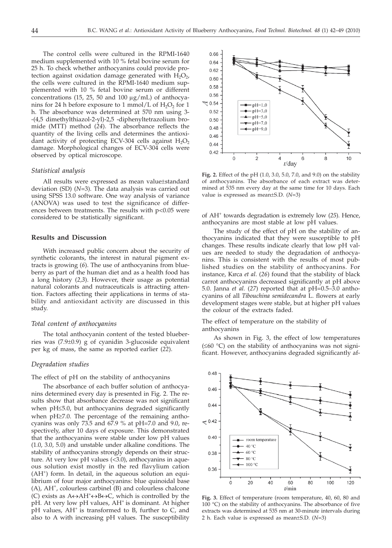The control cells were cultured in the RPMI-1640 medium supplemented with 10 % fetal bovine serum for 25 h. To check whether anthocyanins could provide protection against oxidation damage generated with  $H_2O_2$ , the cells were cultured in the RPMI-1640 medium supplemented with 10 % fetal bovine serum or different concentrations (15, 25, 50 and 100  $\mu$ g/mL) of anthocyanins for 24 h before exposure to 1 mmol/L of  $H_2O_2$  for 1 h. The absorbance was determined at 570 nm using 3- -(4,5 dimethylthiazol-2-yl)-2,5 -diphenyltetrazolium bromide (MTT) method (*24*). The absorbance reflects the quantity of the living cells and determines the antioxidant activity of protecting ECV-304 cells against  $H_2O_2$ damage. Morphological changes of ECV-304 cells were observed by optical microscope.

#### *Statistical analysis*

All results were expressed as mean value±standard deviation (SD) (*N*=3). The data analysis was carried out using SPSS 13.0 software. One way analysis of variance (ANOVA) was used to test the significance of differences between treatments. The results with p<0.05 were considered to be statistically significant.

# **Results and Discussion**

With increased public concern about the security of synthetic colorants, the interest in natural pigment extracts is growing (*6*). The use of anthocyanins from blueberry as part of the human diet and as a health food has a long history (*2,3*). However, their usage as potential natural colorants and nutraceuticals is attracting attention. Factors affecting their applications in terms of stability and antioxidant activity are discussed in this study.

#### *Total content of anthocyanins*

The total anthocyanin content of the tested blueberries was (7.9±0.9) g of cyanidin 3-glucoside equivalent per kg of mass, the same as reported earlier (*22*).

## *Degradation studies*

The effect of pH on the stability of anthocyanins

The absorbance of each buffer solution of anthocyanins determined every day is presented in Fig. 2. The results show that absorbance decrease was not significant when pH≤5.0, but anthocyanins degraded significantly when  $pH \geq 7.0$ . The percentage of the remaining anthocyanins was only 73.5 and 67.9 % at pH=7.0 and 9.0, respectively, after 10 days of exposure. This demonstrated that the anthocyanins were stable under low pH values (1.0, 3.0, 5.0) and unstable under alkaline conditions. The stability of anthocyanins strongly depends on their structure. At very low pH values (<3.0), anthocyanins in aqueous solution exist mostly in the red flavylium cation (AH<sup>+</sup>) form. In detail, in the aqueous solution an equilibrium of four major anthocyanins: blue quinoidal base (A), AH<sup>+</sup>, colourless carbinel (B) and colourless chalcone (C) exists as  $A \leftrightarrow AH^+ \leftrightarrow B \leftrightarrow C$ , which is controlled by the nH  $\,$  At very low nH values  $\,$  AH<sup>+</sup> is dominant  $\,$  At higher pH. At very low pH values, AH<sup>+</sup> is dominant. At higher  $pH$  values,  $AH^+$  is transformed to B, further to C, and also to A with increasing pH values. The susceptibility



**Fig. 2.** Effect of the pH (1.0, 3.0, 5.0, 7.0, and 9.0) on the stability of anthocyanins. The absorbance of each extract was determined at 535 nm every day at the same time for 10 days. Each value is expressed as mean±S.D. (*N*=3)

of AH+ towards degradation is extremely low (*25*). Hence, anthocyanins are most stable at low pH values.

The study of the effect of pH on the stability of anthocyanins indicated that they were susceptible to pH changes. These results indicate clearly that low pH values are needed to study the degradation of anthocyanins. This is consistent with the results of most published studies on the stability of anthocyanins. For instance, Kırca et al. (26) found that the stability of black carrot anthocyanins decreased significantly at pH above 5.0. Janna *et al.* (*27*) reported that at pH=0.5–3.0 anthocyanins of all *Tibouchina semidecandra* L. flowers at early development stages were stable, but at higher pH values the colour of the extracts faded.

The effect of temperature on the stability of anthocyanins

As shown in Fig. 3, the effect of low temperatures  $( \leq 60 \degree C)$  on the stability of anthocyanins was not significant. However, anthocyanins degraded significantly af-



**Fig. 3.** Effect of temperature (room temperature, 40, 60, 80 and 100 °C) on the stability of anthocyanins. The absorbance of five extracts was determined at 535 nm at 30-minute intervals during 2 h. Each value is expressed as mean±S.D. (*N*=3)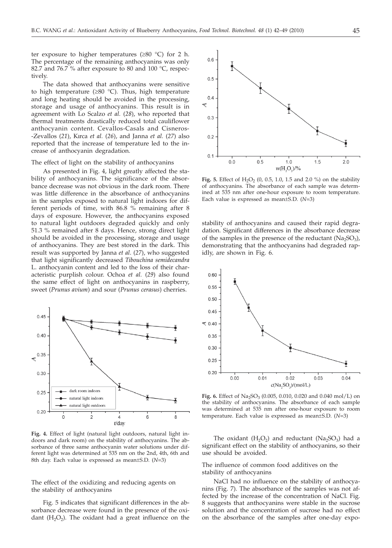ter exposure to higher temperatures ( $\geq 80$  °C) for 2 h. The percentage of the remaining anthocyanins was only 82.7 and 76.7 % after exposure to 80 and 100 °C, respectively.

The data showed that anthocyanins were sensitive to high temperature ( $\geq 80$  °C). Thus, high temperature and long heating should be avoided in the processing, storage and usage of anthocyanins. This result is in agreement with Lo Scalzo *et al.* (*28*), who reported that thermal treatments drastically reduced total cauliflower anthocyanin content. Cevallos-Casals and Cisneros- -Zevallos (21), Kırca et al. (26), and Janna et al. (27) also reported that the increase of temperature led to the increase of anthocyanin degradation.

## The effect of light on the stability of anthocyanins

As presented in Fig. 4, light greatly affected the stability of anthocyanins. The significance of the absorbance decrease was not obvious in the dark room. There was little difference in the absorbance of anthocyanins in the samples exposed to natural light indoors for different periods of time, with 86.8 % remaining after 8 days of exposure. However, the anthocyanins exposed to natural light outdoors degraded quickly and only 51.3 % remained after 8 days. Hence, strong direct light should be avoided in the processing, storage and usage of anthocyanins. They are best stored in the dark. This result was supported by Janna *et al*. (*27*), who suggested that light significantly decreased *Tibouchina semidecandra* L. anthocyanin content and led to the loss of their characteristic purplish colour. Ochoa *et al.* (*29*) also found the same effect of light on anthocyanins in raspberry, sweet (*Prunus avium*) and sour (*Prunus cerasus*) cherries.



**Fig. 4.** Effect of light (natural light outdoors, natural light indoors and dark room) on the stability of anthocyanins. The absorbance of three same anthocyanin water solutions under different light was determined at 535 nm on the 2nd, 4th, 6th and 8th day. Each value is expressed as mean±S.D. (*N*=3)

The effect of the oxidizing and reducing agents on the stability of anthocyanins

Fig. 5 indicates that significant differences in the absorbance decrease were found in the presence of the oxidant  $(H<sub>2</sub>O<sub>2</sub>)$ . The oxidant had a great influence on the



**Fig. 5.** Effect of  $H_2O_2$  (0, 0.5, 1.0, 1.5 and 2.0 %) on the stability of anthocyanins. The absorbance of each sample was determined at 535 nm after one-hour exposure to room temperature. Each value is expressed as mean±S.D. (*N*=3)

stability of anthocyanins and caused their rapid degradation. Significant differences in the absorbance decrease of the samples in the presence of the reductant  $(Na_2SO_3)$ , demonstrating that the anthocyanins had degraded rapidly, are shown in Fig. 6.



Fig. 6. Effect of Na<sub>2</sub>SO<sub>3</sub> (0.005, 0.010, 0.020 and 0.040 mol/L) on the stability of anthocyanins. The absorbance of each sample was determined at 535 nm after one-hour exposure to room temperature. Each value is expressed as mean±S.D. (*N*=3)

The oxidant  $(H_2O_2)$  and reductant  $(Na_2SO_3)$  had a significant effect on the stability of anthocyanins, so their use should be avoided.

The influence of common food additives on the stability of anthocyanins

NaCl had no influence on the stability of anthocyanins (Fig. 7). The absorbance of the samples was not affected by the increase of the concentration of NaCl. Fig. 8 suggests that anthocyanins were stable in the sucrose solution and the concentration of sucrose had no effect on the absorbance of the samples after one-day expo-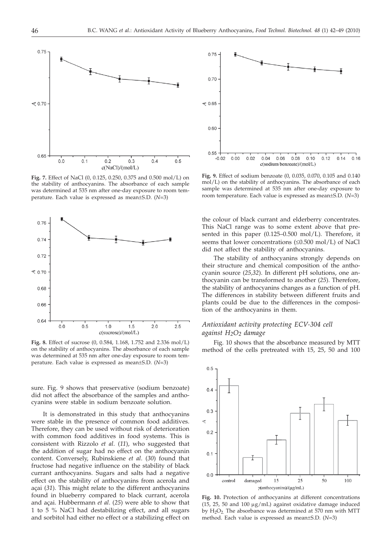

**Fig. 7.** Effect of NaCl (0, 0.125, 0.250, 0.375 and 0.500 mol/L) on the stability of anthocyanins. The absorbance of each sample was determined at 535 nm after one-day exposure to room temperature. Each value is expressed as mean±S.D. (*N*=3)



**Fig. 8.** Effect of sucrose (0, 0.584, 1.168, 1.752 and 2.336 mol/L) on the stability of anthocyanins. The absorbance of each sample was determined at 535 nm after one-day exposure to room temperature. Each value is expressed as mean±S.D. (*N*=3)

sure. Fig. 9 shows that preservative (sodium benzoate) did not affect the absorbance of the samples and anthocyanins were stable in sodium benzoate solution.

It is demonstrated in this study that anthocyanins were stable in the presence of common food additives. Therefore, they can be used without risk of deterioration with common food additives in food systems. This is consistent with Rizzolo *et al*. (*11*), who suggested that the addition of sugar had no effect on the anthocyanin content. Conversely, Rubinskiene *et al*. (*30*) found that fructose had negative influence on the stability of black currant anthocyanins. Sugars and salts had a negative effect on the stability of anthocyanins from acerola and açai (*31*). This might relate to the different anthocyanins found in blueberry compared to black currant, acerola and açai. Hubbermann *et al*. (*25*) were able to show that 1 to 5 % NaCl had destabilizing effect, and all sugars and sorbitol had either no effect or a stabilizing effect on



**Fig. 9.** Effect of sodium benzoate (0, 0.035, 0.070, 0.105 and 0.140 mol/L) on the stability of anthocyanins. The absorbance of each sample was determined at 535 nm after one-day exposure to room temperature. Each value is expressed as mean±S.D. (*N*=3)

the colour of black currant and elderberry concentrates. This NaCl range was to some extent above that presented in this paper (0.125–0.500 mol/L). Therefore, it seems that lower concentrations  $(\leq 0.500 \text{ mol/L})$  of NaCl did not affect the stability of anthocyanins.

The stability of anthocyanins strongly depends on their structure and chemical composition of the anthocyanin source (*25,32*). In different pH solutions, one anthocyanin can be transformed to another (*25*). Therefore, the stability of anthocyanins changes as a function of pH. The differences in stability between different fruits and plants could be due to the differences in the composition of the anthocyanins in them.

# *Antioxidant activity protecting ECV-304 cell against H2O2 damage*

Fig. 10 shows that the absorbance measured by MTT method of the cells pretreated with 15, 25, 50 and 100



**Fig. 10.** Protection of anthocyanins at different concentrations (15, 25, 50 and 100  $\mu$ g/mL) against oxidative damage induced by  $H_2O_2$ . The absorbance was determined at 570 nm with MTT method. Each value is expressed as mean±S.D. (*N*=3)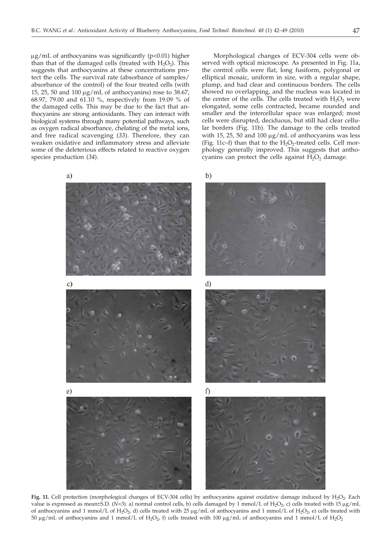$\mu$ g/mL of anthocyanins was significantly (p<0.01) higher than that of the damaged cells (treated with  $H_2O_2$ ). This suggests that anthocyanins at these concentrations protect the cells. The survival rate (absorbance of samples/ absorbance of the control) of the four treated cells (with 15, 25, 50 and 100  $\mu$ g/mL of anthocyanins) rose to 38.67, 68.97, 79.00 and 61.10 %, respectively from 19.09 % of the damaged cells. This may be due to the fact that anthocyanins are strong antioxidants. They can interact with biological systems through many potential pathways, such as oxygen radical absorbance, chelating of the metal ions, and free radical scavenging (*33*). Therefore, they can weaken oxidative and inflammatory stress and alleviate some of the deleterious effects related to reactive oxygen species production (*34*).

Morphological changes of ECV-304 cells were observed with optical microscope. As presented in Fig. 11a, the control cells were flat, long fusiform, polygonal or elliptical mosaic, uniform in size, with a regular shape, plump, and had clear and continuous borders. The cells showed no overlapping, and the nucleus was located in the center of the cells. The cells treated with  $H_2O_2$  were elongated, some cells contracted, became rounded and smaller and the intercellular space was enlarged; most cells were disrupted, deciduous, but still had clear cellular borders (Fig. 11b). The damage to the cells treated with 15, 25, 50 and 100  $\mu$ g/mL of anthocyanins was less (Fig. 11c–f) than that to the  $H_2O_2$ -treated cells. Cell morphology generally improved. This suggests that anthocyanins can protect the cells against  $H_2O_2$  damage.



Fig. 11. Cell protection (morphological changes of ECV-304 cells) by anthocyanins against oxidative damage induced by H<sub>2</sub>O<sub>2</sub>. Each value is expressed as mean±S.D. (*N*=3). a) normal control cells, b) cells damaged by 1 mmol/L of H<sub>2</sub>O<sub>2</sub>, c) cells treated with 15 µg/mL of anthocyanins and 1 mmol/L of H<sub>2</sub>O<sub>2</sub>, d) cells treated with 25  $\mu$ g/mL of anthocyanins and 1 mmol/L of H<sub>2</sub>O<sub>2</sub>, e) cells treated with 50  $\mu$ g/mL of anthocyanins and 1 mmol/L of H<sub>2</sub>O<sub>2</sub>, f) cells treated with 100  $\mu$ g/mL of anthocyanins and 1 mmol/L of H<sub>2</sub>O<sub>2</sub>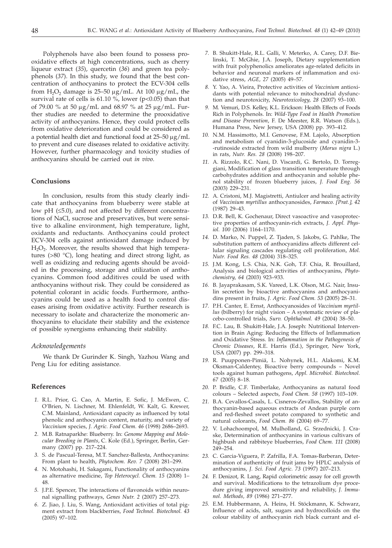Polyphenols have also been found to possess prooxidative effects at high concentrations, such as cherry liqueur extract (*35*), quercetin (*36*) and green tea polyphenols (*37*). In this study, we found that the best concentration of anthocyanins to protect the ECV-304 cells from  $H_2O_2$  damage is 25–50  $\mu$ g/mL. At 100  $\mu$ g/mL, the survival rate of cells is  $61.10$  %, lower (p<0.05) than that of 79.00 % at 50  $\mu$ g/mL and 68.97 % at 25  $\mu$ g/mL. Further studies are needed to determine the prooxidative activity of anthocyanins. Hence, they could protect cells from oxidative deterioration and could be considered as a potential health diet and functional food at  $25-50 \mu g/mL$ to prevent and cure diseases related to oxidative activity. However, further pharmacology and toxicity studies of anthocyanins should be carried out *in vivo*.

# **Conclusions**

In conclusion, results from this study clearly indicate that anthocyanins from blueberry were stable at low pH  $(\leq 5.0)$ , and not affected by different concentrations of NaCl, sucrose and preservatives, but were sensitive to alkaline environment, high temperature, light, oxidants and reductants. Anthocyanins could protect ECV-304 cells against antioxidant damage induced by  $H_2O_2$ . Moreover, the results showed that high temperatures (>80 °C), long heating and direct strong light, as well as oxidizing and reducing agents should be avoided in the processing, storage and utilization of anthocyanins. Common food additives could be used with anthocyanins without risk. They could be considered as potential colorant in acidic foods. Furthermore, anthocyanins could be used as a health food to control diseases arising from oxidative activity. Further research is necessary to isolate and characterize the monomeric anthocyanins to elucidate their stability and the existence of possible synergisms enhancing their stability.

#### *Acknowledgements*

We thank Dr Gurinder K. Singh, Yazhou Wang and Peng Liu for editing assistance.

### **References**

- *1.* R.L. Prior, G. Cao, A. Martin, E. Sofic, J. McEwen, C. O'Brien, N. Lischner, M. Ehlenfeldt, W. Kalt, G. Krewer, C.M. Mainland, Antioxidant capacity as influenced by total phenolic and anthocyanin content, maturity, and variety of *Vaccinium* species, *J. Agric. Food Chem. 46* (1998) 2686–2693.
- *2.* M.B. Ratnaparkhe: Blueberry. In: *Genome Mapping and Molecular Breeding in Plants*, C. Kole (Ed.), Springer, Berlin, Germany (2007) pp. 217–224.
- *3.* S. de Pascual-Teresa, M.T. Sanchez-Ballesta, Anthocyanins: From plant to health, *Phytochem. Rev. 7* (2008) 281–299.
- *4.* N. Motohashi, H. Sakagami, Functionality of anthocyanins as alternative medicine, *Top Heterocycl. Chem. 15* (2008) 1– 48.
- *5.* J.P.E. Spencer, The interactions of flavonoids within neuronal signalling pathways, *Genes Nutr. 2* (2007) 257–273.
- *6.* Z. Jiao, J. Liu, S. Wang, Antioxidant activities of total pigment extract from blackberries, *Food Technol. Biotechnol. 43* (2005) 97–102.
- *7.* B. Shukitt-Hale, R.L. Galli, V. Meterko, A. Carey, D.F. Bielinski, T. McGhie, J.A. Joseph, Dietary supplementation with fruit polyphenolics ameliorates age-related deficits in behavior and neuronal markers of inflammation and oxidative stress, *AGE, 27* (2005) 49–57.
- *8.* Y. Yao, A. Vieira, Protective activities of *Vaccinium* antioxidants with potential relevance to mitochondrial dysfunction and neurotoxicity, *Neurotoxicology, 28* (2007) 93–100.
- *9.* M. Vemuri, D.S. Kelley, K.L. Erickson: Health Effects of Foods Rich in Polyphenols. In: *Wild-Type Food in Health Promotion and Disease Prevention*, F. De Meester, R.R. Watson (Eds.), Humana Press, New Jersey, USA (2008) pp. 393–412.
- *10.* N.M. Hassimotto, M.I. Genovese, F.M. Lajolo, Absorption and metabolism of cyanidin-3-glucoside and cyanidin-3- -rutinoside extracted from wild mulberry (*Morus nigra* L.) in rats, *Nutr. Res. 28* (2008) 198–207.
- *11.* A. Rizzolo, R.C. Nani, D. Viscardi, G. Bertolo, D. Torreggiani, Modification of glass transition temperature through carbohydrates addition and anthocyanin and soluble phenol stability of frozen blueberry juices, *J. Food Eng. 56* (2003) 229–231.
- *12.* A. Cristoni, M.J. Magistretti, Antiulcer and healing activity of *Vaccinium myrtillus* anthocyanosides, *Farmaco. [Prat.], 42* (1987) 29–43.
- *13.* D.R. Bell, K. Gochenaur, Direct vasoactive and vasoprotective properties of anthocyanin-rich extracts, *J. Appl. Physiol. 100* (2006) 1164–1170.
- *14.* D. Marko, N. Puppel, Z. Tjaden, S. Jakobs, G. Pahlke, The substitution pattern of anthocyanidins affects different cellular signaling cascades regulating cell proliferation, *Mol. Nutr. Food Res. 48* (2004) 318–325.
- *15.* J.M. Kong, L.S. Chia, N.K. Goh, T.F. Chia, R. Brouillard, Analysis and biological activities of anthocyanins, *Phytochemistry, 64* (2003) 923–933.
- *16.* B. Jayaprakasam, S.K. Vareed, L.K. Olson, M.G. Nair, Insulin secretion by bioactive anthocyanins and anthocyanidins present in fruits, *J. Agric. Food Chem. 53* (2005) 28–31.
- *17.* P.H. Canter, E. Ernst, Anthocyanosides of *Vaccinium myrtillus* (bilberry) for night vision – A systematic review of placebo-controlled trials, *Surv. Ophthalmol. 49* (2004) 38–50.
- *18.* F.C. Lau, B. Shukitt-Hale, J.A. Joseph: Nutritional Intervention in Brain Aging: Reducing the Effects of Inflammation and Oxidative Stress. In: *Inflammation in the Pathogenesis of Chronic Diseases*, R.E. Harris (Ed.), Springer, New York, USA (2007) pp. 299–318.
- *19.* R. Puupponen-Pimiä, L. Nohynek, H.L. Alakomi, K.M. Oksman-Caldentey, Bioactive berry compounds – Novel tools against human pathogens, *Appl. Microbiol. Biotechnol. 67* (2005) 8–18.
- *20.* P. Bridle, C.F. Timberlake, Anthocyanins as natural food colours – Selected aspects, *Food Chem. 58* (1997) 103–109.
- *21.* B.A. Cevallos-Casals, L. Cisneros-Zevallos, Stability of anthocyanin-based aqueous extracts of Andean purple corn and red-fleshed sweet potato compared to synthetic and natural colorants, *Food Chem. 86* (2004) 69–77.
- *22.* V. Lohachoompol, M. Mulholland, G. Srzednicki, J. Craske, Determination of anthocyanins in various cultivars of highbush and rabbiteye blueberries, *Food Chem. 111* (2008) 249–254.
- *23.* C. Garcia-Viguera, P. Zafrilla, F.A. Tomas-Barberan, Determination of authenticity of fruit jams by HPLC analysis of anthocyanins, *J. Sci. Food Agric. 73* (1997) 207–213.
- *24.* F. Denizot, R. Lang, Rapid colorimetric assay for cell growth and survival. Modifications to the tetrazolium dye procedure giving improved sensitivity and reliability, *J. Immunol. Methods, 89* (1986) 271–277.
- *25.* E.M. Hubbermann, A. Heins, H. Stöckmann, K. Schwarz, Influence of acids, salt, sugars and hydrocolloids on the colour stability of anthocyanin rich black currant and el-